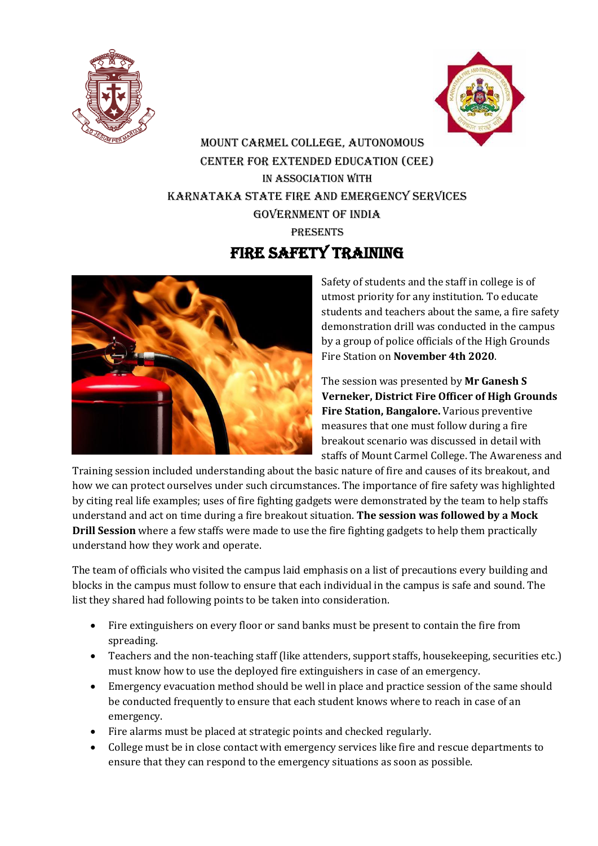



MOUNT CARMEL COLLEGE, AUTONOMOUS Center for extended education (cee) In Association with Karnataka STATE FIRE AND EMERGENCY SERVICES GOVERNMENT OF INDIA **PRESENTS** 





Safety of students and the staff in college is of utmost priority for any institution. To educate students and teachers about the same, a fire safety demonstration drill was conducted in the campus by a group of police officials of the High Grounds Fire Station on **November 4th 2020**.

The session was presented by **Mr Ganesh S Verneker, District Fire Officer of High Grounds Fire Station, Bangalore.** Various preventive measures that one must follow during a fire breakout scenario was discussed in detail with staffs of Mount Carmel College. The Awareness and

Training session included understanding about the basic nature of fire and causes of its breakout, and how we can protect ourselves under such circumstances. The importance of fire safety was highlighted by citing real life examples; uses of fire fighting gadgets were demonstrated by the team to help staffs understand and act on time during a fire breakout situation. **The session was followed by a Mock Drill Session** where a few staffs were made to use the fire fighting gadgets to help them practically understand how they work and operate.

The team of officials who visited the campus laid emphasis on a list of precautions every building and blocks in the campus must follow to ensure that each individual in the campus is safe and sound. The list they shared had following points to be taken into consideration.

- Fire extinguishers on every floor or sand banks must be present to contain the fire from spreading.
- Teachers and the non-teaching staff (like attenders, support staffs, housekeeping, securities etc.) must know how to use the deployed fire extinguishers in case of an emergency.
- Emergency evacuation method should be well in place and practice session of the same should be conducted frequently to ensure that each student knows where to reach in case of an emergency.
- Fire alarms must be placed at strategic points and checked regularly.
- College must be in close contact with emergency services like fire and rescue departments to ensure that they can respond to the emergency situations as soon as possible.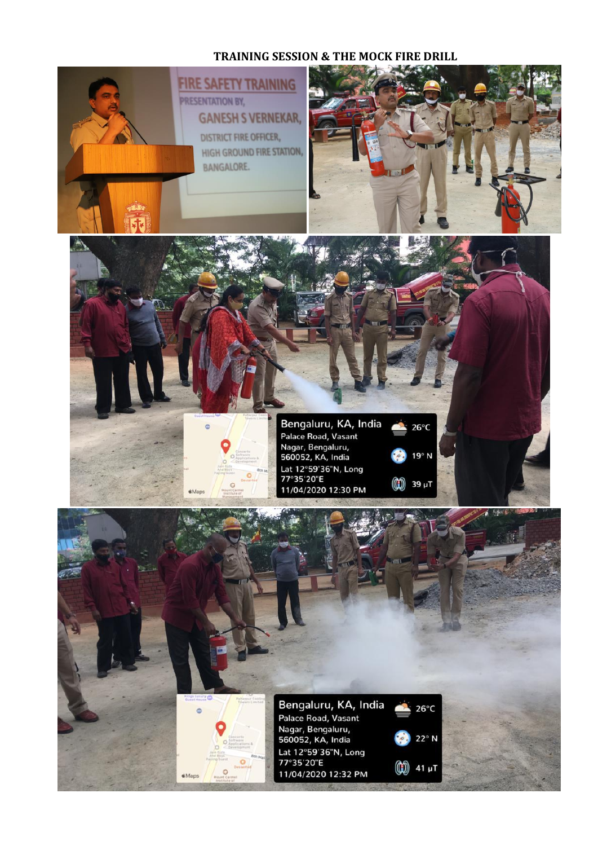## **TRAINING SESSION & THE MOCK FIRE DRILL**